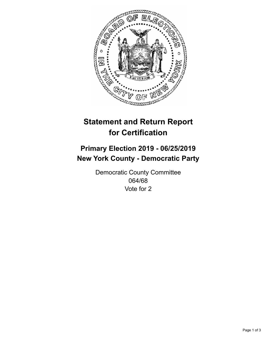

## **Statement and Return Report for Certification**

## **Primary Election 2019 - 06/25/2019 New York County - Democratic Party**

Democratic County Committee 064/68 Vote for 2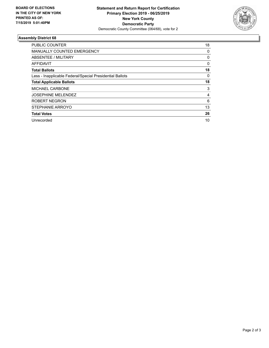

## **Assembly District 68**

| <b>PUBLIC COUNTER</b>                                    | 18       |
|----------------------------------------------------------|----------|
| <b>MANUALLY COUNTED EMERGENCY</b>                        | 0        |
| ABSENTEE / MILITARY                                      | 0        |
| AFFIDAVIT                                                | $\Omega$ |
| <b>Total Ballots</b>                                     | 18       |
| Less - Inapplicable Federal/Special Presidential Ballots | 0        |
| <b>Total Applicable Ballots</b>                          | 18       |
| <b>MICHAEL CARBONE</b>                                   | 3        |
| <b>JOSEPHINE MELENDEZ</b>                                | 4        |
| ROBERT NEGRON                                            | 6        |
| STEPHANIE ARROYO                                         | 13       |
| <b>Total Votes</b>                                       | 26       |
| Unrecorded                                               | 10       |